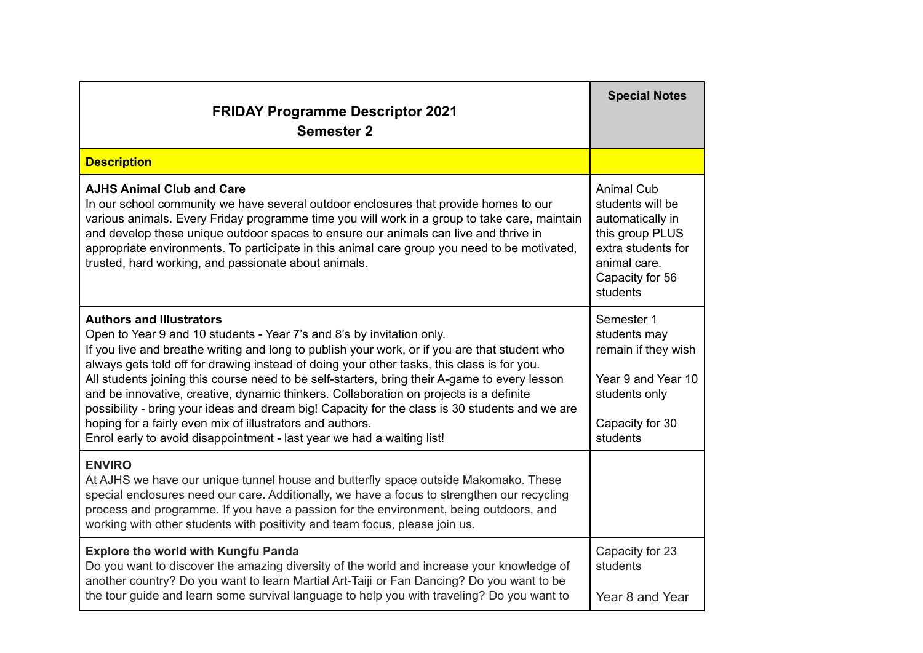| <b>FRIDAY Programme Descriptor 2021</b><br><b>Semester 2</b>                                                                                                                                                                                                                                                                                                                                                                                                                                                                                                                                                                                                                                                                                | <b>Special Notes</b>                                                                                                                              |
|---------------------------------------------------------------------------------------------------------------------------------------------------------------------------------------------------------------------------------------------------------------------------------------------------------------------------------------------------------------------------------------------------------------------------------------------------------------------------------------------------------------------------------------------------------------------------------------------------------------------------------------------------------------------------------------------------------------------------------------------|---------------------------------------------------------------------------------------------------------------------------------------------------|
| <b>Description</b>                                                                                                                                                                                                                                                                                                                                                                                                                                                                                                                                                                                                                                                                                                                          |                                                                                                                                                   |
| <b>AJHS Animal Club and Care</b><br>In our school community we have several outdoor enclosures that provide homes to our<br>various animals. Every Friday programme time you will work in a group to take care, maintain<br>and develop these unique outdoor spaces to ensure our animals can live and thrive in<br>appropriate environments. To participate in this animal care group you need to be motivated,<br>trusted, hard working, and passionate about animals.                                                                                                                                                                                                                                                                    | <b>Animal Cub</b><br>students will be<br>automatically in<br>this group PLUS<br>extra students for<br>animal care.<br>Capacity for 56<br>students |
| <b>Authors and Illustrators</b><br>Open to Year 9 and 10 students - Year 7's and 8's by invitation only.<br>If you live and breathe writing and long to publish your work, or if you are that student who<br>always gets told off for drawing instead of doing your other tasks, this class is for you.<br>All students joining this course need to be self-starters, bring their A-game to every lesson<br>and be innovative, creative, dynamic thinkers. Collaboration on projects is a definite<br>possibility - bring your ideas and dream big! Capacity for the class is 30 students and we are<br>hoping for a fairly even mix of illustrators and authors.<br>Enrol early to avoid disappointment - last year we had a waiting list! | Semester 1<br>students may<br>remain if they wish<br>Year 9 and Year 10<br>students only<br>Capacity for 30<br>students                           |
| <b>ENVIRO</b><br>At AJHS we have our unique tunnel house and butterfly space outside Makomako. These<br>special enclosures need our care. Additionally, we have a focus to strengthen our recycling<br>process and programme. If you have a passion for the environment, being outdoors, and<br>working with other students with positivity and team focus, please join us.                                                                                                                                                                                                                                                                                                                                                                 |                                                                                                                                                   |
| <b>Explore the world with Kungfu Panda</b><br>Do you want to discover the amazing diversity of the world and increase your knowledge of<br>another country? Do you want to learn Martial Art-Taiji or Fan Dancing? Do you want to be<br>the tour guide and learn some survival language to help you with traveling? Do you want to                                                                                                                                                                                                                                                                                                                                                                                                          | Capacity for 23<br>students<br>Year 8 and Year                                                                                                    |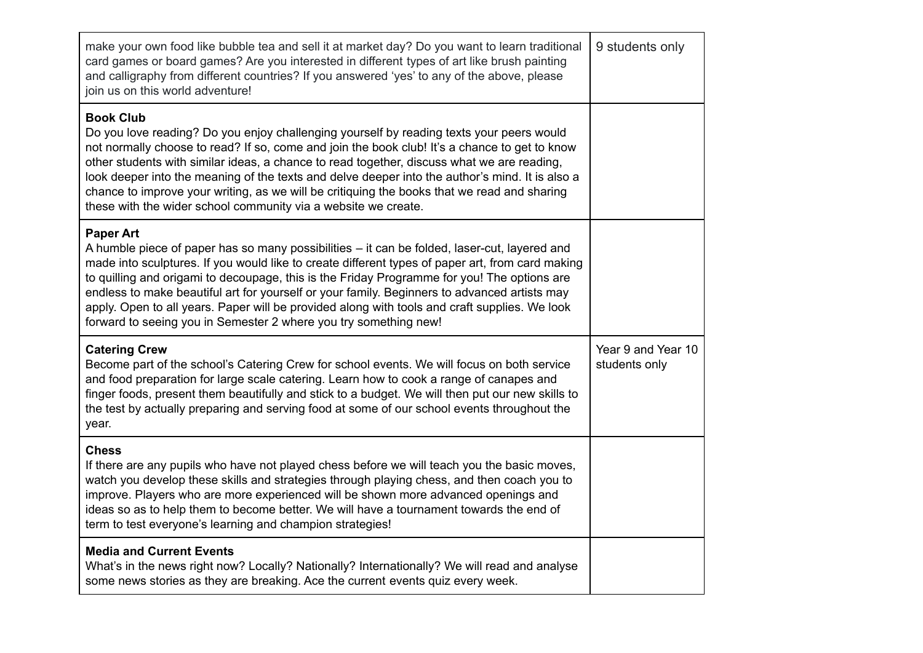| make your own food like bubble tea and sell it at market day? Do you want to learn traditional<br>card games or board games? Are you interested in different types of art like brush painting<br>and calligraphy from different countries? If you answered 'yes' to any of the above, please<br>join us on this world adventure!                                                                                                                                                                                                                                                         | 9 students only                     |
|------------------------------------------------------------------------------------------------------------------------------------------------------------------------------------------------------------------------------------------------------------------------------------------------------------------------------------------------------------------------------------------------------------------------------------------------------------------------------------------------------------------------------------------------------------------------------------------|-------------------------------------|
| <b>Book Club</b><br>Do you love reading? Do you enjoy challenging yourself by reading texts your peers would<br>not normally choose to read? If so, come and join the book club! It's a chance to get to know<br>other students with similar ideas, a chance to read together, discuss what we are reading,<br>look deeper into the meaning of the texts and delve deeper into the author's mind. It is also a<br>chance to improve your writing, as we will be critiquing the books that we read and sharing<br>these with the wider school community via a website we create.          |                                     |
| <b>Paper Art</b><br>A humble piece of paper has so many possibilities - it can be folded, laser-cut, layered and<br>made into sculptures. If you would like to create different types of paper art, from card making<br>to quilling and origami to decoupage, this is the Friday Programme for you! The options are<br>endless to make beautiful art for yourself or your family. Beginners to advanced artists may<br>apply. Open to all years. Paper will be provided along with tools and craft supplies. We look<br>forward to seeing you in Semester 2 where you try something new! |                                     |
| <b>Catering Crew</b><br>Become part of the school's Catering Crew for school events. We will focus on both service<br>and food preparation for large scale catering. Learn how to cook a range of canapes and<br>finger foods, present them beautifully and stick to a budget. We will then put our new skills to<br>the test by actually preparing and serving food at some of our school events throughout the<br>year.                                                                                                                                                                | Year 9 and Year 10<br>students only |
| <b>Chess</b><br>If there are any pupils who have not played chess before we will teach you the basic moves,<br>watch you develop these skills and strategies through playing chess, and then coach you to<br>improve. Players who are more experienced will be shown more advanced openings and<br>ideas so as to help them to become better. We will have a tournament towards the end of<br>term to test everyone's learning and champion strategies!                                                                                                                                  |                                     |
| <b>Media and Current Events</b><br>What's in the news right now? Locally? Nationally? Internationally? We will read and analyse<br>some news stories as they are breaking. Ace the current events quiz every week.                                                                                                                                                                                                                                                                                                                                                                       |                                     |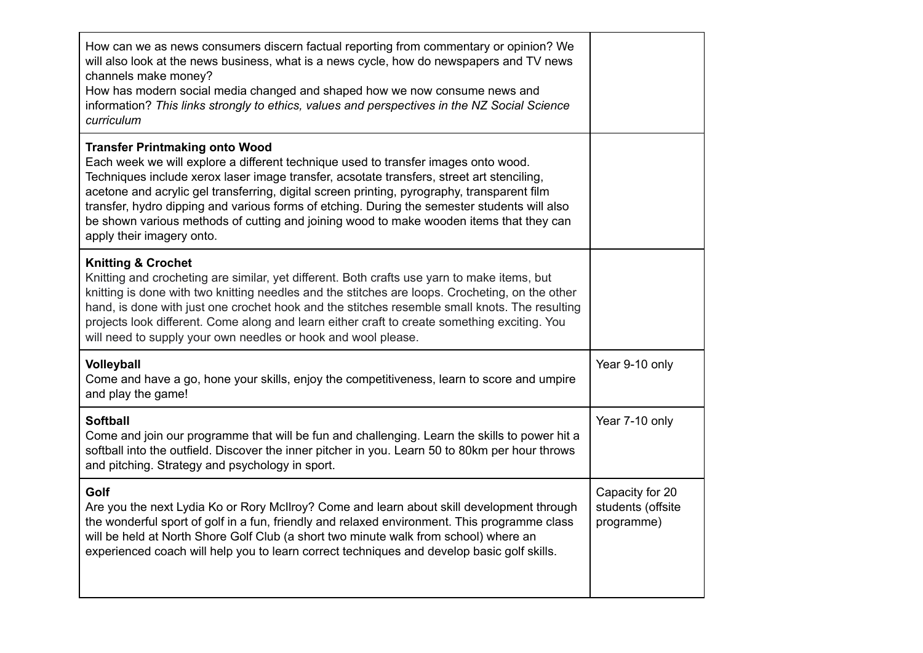| How can we as news consumers discern factual reporting from commentary or opinion? We<br>will also look at the news business, what is a news cycle, how do newspapers and TV news<br>channels make money?<br>How has modern social media changed and shaped how we now consume news and<br>information? This links strongly to ethics, values and perspectives in the NZ Social Science<br>curriculum                                                                                                                                           |                                                    |
|-------------------------------------------------------------------------------------------------------------------------------------------------------------------------------------------------------------------------------------------------------------------------------------------------------------------------------------------------------------------------------------------------------------------------------------------------------------------------------------------------------------------------------------------------|----------------------------------------------------|
| <b>Transfer Printmaking onto Wood</b><br>Each week we will explore a different technique used to transfer images onto wood.<br>Techniques include xerox laser image transfer, acsotate transfers, street art stenciling,<br>acetone and acrylic gel transferring, digital screen printing, pyrography, transparent film<br>transfer, hydro dipping and various forms of etching. During the semester students will also<br>be shown various methods of cutting and joining wood to make wooden items that they can<br>apply their imagery onto. |                                                    |
| <b>Knitting &amp; Crochet</b><br>Knitting and crocheting are similar, yet different. Both crafts use yarn to make items, but<br>knitting is done with two knitting needles and the stitches are loops. Crocheting, on the other<br>hand, is done with just one crochet hook and the stitches resemble small knots. The resulting<br>projects look different. Come along and learn either craft to create something exciting. You<br>will need to supply your own needles or hook and wool please.                                               |                                                    |
| Volleyball<br>Come and have a go, hone your skills, enjoy the competitiveness, learn to score and umpire<br>and play the game!                                                                                                                                                                                                                                                                                                                                                                                                                  | Year 9-10 only                                     |
| <b>Softball</b><br>Come and join our programme that will be fun and challenging. Learn the skills to power hit a<br>softball into the outfield. Discover the inner pitcher in you. Learn 50 to 80km per hour throws<br>and pitching. Strategy and psychology in sport.                                                                                                                                                                                                                                                                          | Year 7-10 only                                     |
| Golf<br>Are you the next Lydia Ko or Rory McIlroy? Come and learn about skill development through<br>the wonderful sport of golf in a fun, friendly and relaxed environment. This programme class<br>will be held at North Shore Golf Club (a short two minute walk from school) where an<br>experienced coach will help you to learn correct techniques and develop basic golf skills.                                                                                                                                                         | Capacity for 20<br>students (offsite<br>programme) |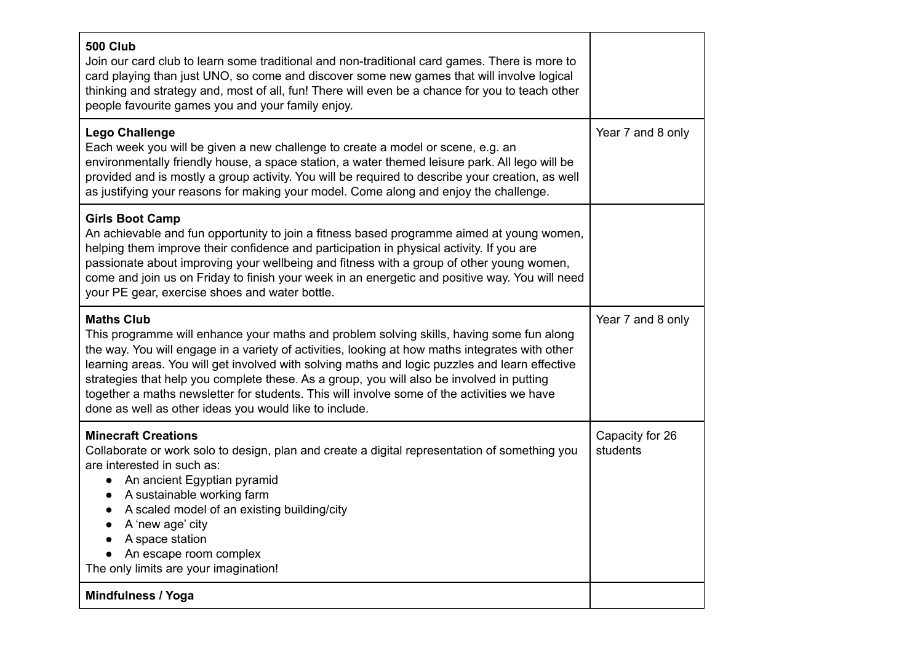| <b>500 Club</b><br>Join our card club to learn some traditional and non-traditional card games. There is more to<br>card playing than just UNO, so come and discover some new games that will involve logical<br>thinking and strategy and, most of all, fun! There will even be a chance for you to teach other<br>people favourite games you and your family enjoy.                                                                                                                                                                                                   |                             |
|-------------------------------------------------------------------------------------------------------------------------------------------------------------------------------------------------------------------------------------------------------------------------------------------------------------------------------------------------------------------------------------------------------------------------------------------------------------------------------------------------------------------------------------------------------------------------|-----------------------------|
| <b>Lego Challenge</b><br>Each week you will be given a new challenge to create a model or scene, e.g. an<br>environmentally friendly house, a space station, a water themed leisure park. All lego will be<br>provided and is mostly a group activity. You will be required to describe your creation, as well<br>as justifying your reasons for making your model. Come along and enjoy the challenge.                                                                                                                                                                 | Year 7 and 8 only           |
| <b>Girls Boot Camp</b><br>An achievable and fun opportunity to join a fitness based programme aimed at young women,<br>helping them improve their confidence and participation in physical activity. If you are<br>passionate about improving your wellbeing and fitness with a group of other young women,<br>come and join us on Friday to finish your week in an energetic and positive way. You will need<br>your PE gear, exercise shoes and water bottle.                                                                                                         |                             |
| <b>Maths Club</b><br>This programme will enhance your maths and problem solving skills, having some fun along<br>the way. You will engage in a variety of activities, looking at how maths integrates with other<br>learning areas. You will get involved with solving maths and logic puzzles and learn effective<br>strategies that help you complete these. As a group, you will also be involved in putting<br>together a maths newsletter for students. This will involve some of the activities we have<br>done as well as other ideas you would like to include. | Year 7 and 8 only           |
| <b>Minecraft Creations</b><br>Collaborate or work solo to design, plan and create a digital representation of something you<br>are interested in such as:<br>An ancient Egyptian pyramid<br>$\bullet$<br>A sustainable working farm<br>A scaled model of an existing building/city<br>$\bullet$<br>A 'new age' city<br>A space station<br>An escape room complex<br>The only limits are your imagination!                                                                                                                                                               | Capacity for 26<br>students |
| Mindfulness / Yoga                                                                                                                                                                                                                                                                                                                                                                                                                                                                                                                                                      |                             |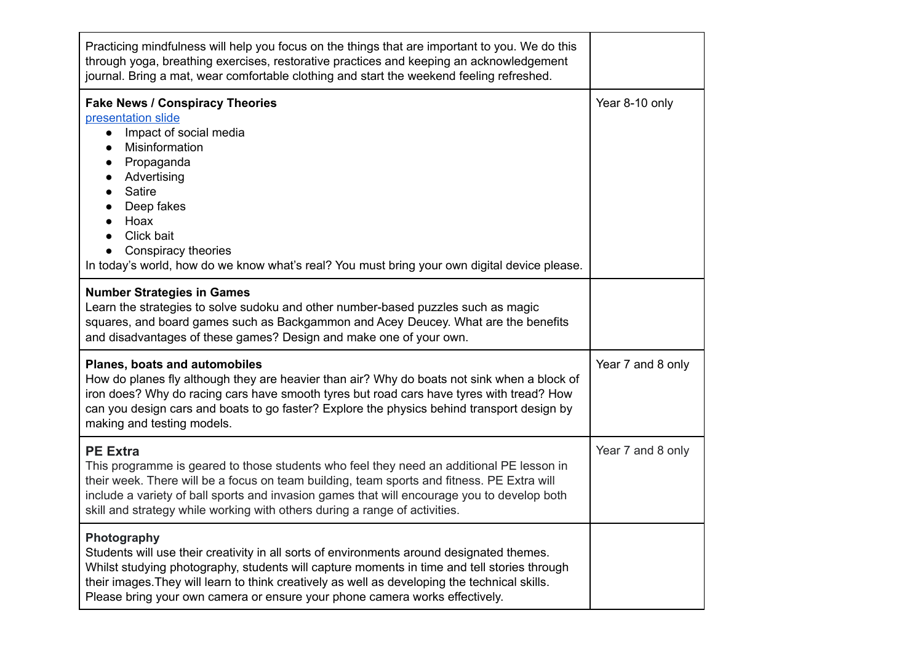| Practicing mindfulness will help you focus on the things that are important to you. We do this<br>through yoga, breathing exercises, restorative practices and keeping an acknowledgement<br>journal. Bring a mat, wear comfortable clothing and start the weekend feeling refreshed.                                                                                                           |                   |
|-------------------------------------------------------------------------------------------------------------------------------------------------------------------------------------------------------------------------------------------------------------------------------------------------------------------------------------------------------------------------------------------------|-------------------|
| <b>Fake News / Conspiracy Theories</b><br>presentation slide<br>Impact of social media<br>$\bullet$<br>Misinformation<br>$\bullet$<br>Propaganda<br>$\bullet$<br>Advertising<br>$\bullet$<br><b>Satire</b><br>$\bullet$<br>Deep fakes<br>Hoax<br>$\bullet$<br>Click bait<br>Conspiracy theories<br>In today's world, how do we know what's real? You must bring your own digital device please. | Year 8-10 only    |
| <b>Number Strategies in Games</b><br>Learn the strategies to solve sudoku and other number-based puzzles such as magic<br>squares, and board games such as Backgammon and Acey Deucey. What are the benefits<br>and disadvantages of these games? Design and make one of your own.                                                                                                              |                   |
| Planes, boats and automobiles<br>How do planes fly although they are heavier than air? Why do boats not sink when a block of<br>iron does? Why do racing cars have smooth tyres but road cars have tyres with tread? How<br>can you design cars and boats to go faster? Explore the physics behind transport design by<br>making and testing models.                                            | Year 7 and 8 only |
| <b>PE Extra</b><br>This programme is geared to those students who feel they need an additional PE lesson in<br>their week. There will be a focus on team building, team sports and fitness. PE Extra will<br>include a variety of ball sports and invasion games that will encourage you to develop both<br>skill and strategy while working with others during a range of activities.          | Year 7 and 8 only |
| Photography<br>Students will use their creativity in all sorts of environments around designated themes.<br>Whilst studying photography, students will capture moments in time and tell stories through<br>their images. They will learn to think creatively as well as developing the technical skills.<br>Please bring your own camera or ensure your phone camera works effectively.         |                   |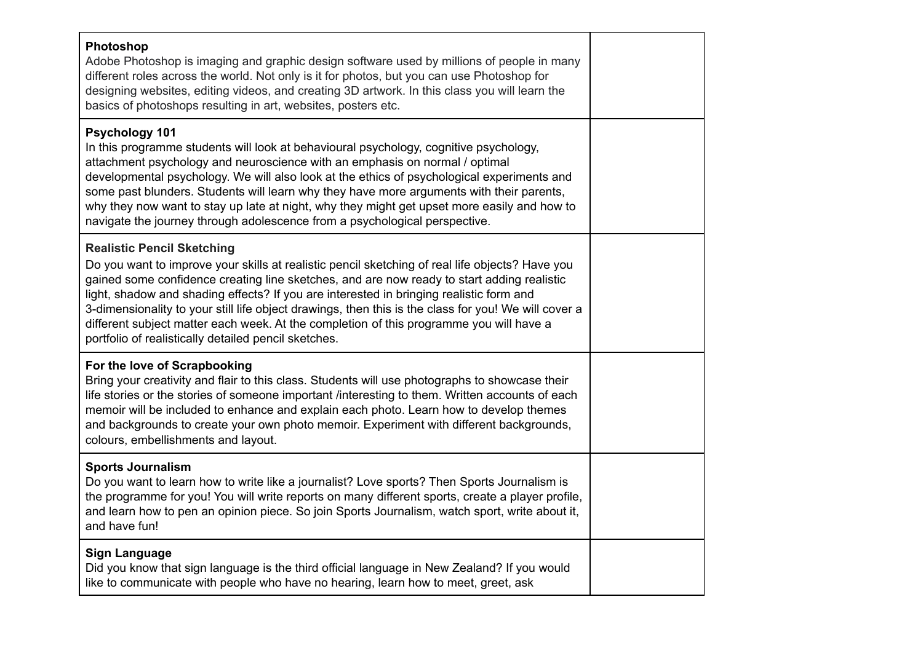| Photoshop<br>Adobe Photoshop is imaging and graphic design software used by millions of people in many<br>different roles across the world. Not only is it for photos, but you can use Photoshop for<br>designing websites, editing videos, and creating 3D artwork. In this class you will learn the<br>basics of photoshops resulting in art, websites, posters etc.                                                                                                                                                                                                                   |  |
|------------------------------------------------------------------------------------------------------------------------------------------------------------------------------------------------------------------------------------------------------------------------------------------------------------------------------------------------------------------------------------------------------------------------------------------------------------------------------------------------------------------------------------------------------------------------------------------|--|
| <b>Psychology 101</b><br>In this programme students will look at behavioural psychology, cognitive psychology,<br>attachment psychology and neuroscience with an emphasis on normal / optimal<br>developmental psychology. We will also look at the ethics of psychological experiments and<br>some past blunders. Students will learn why they have more arguments with their parents,<br>why they now want to stay up late at night, why they might get upset more easily and how to<br>navigate the journey through adolescence from a psychological perspective.                     |  |
| <b>Realistic Pencil Sketching</b><br>Do you want to improve your skills at realistic pencil sketching of real life objects? Have you<br>gained some confidence creating line sketches, and are now ready to start adding realistic<br>light, shadow and shading effects? If you are interested in bringing realistic form and<br>3-dimensionality to your still life object drawings, then this is the class for you! We will cover a<br>different subject matter each week. At the completion of this programme you will have a<br>portfolio of realistically detailed pencil sketches. |  |
| For the love of Scrapbooking<br>Bring your creativity and flair to this class. Students will use photographs to showcase their<br>life stories or the stories of someone important /interesting to them. Written accounts of each<br>memoir will be included to enhance and explain each photo. Learn how to develop themes<br>and backgrounds to create your own photo memoir. Experiment with different backgrounds,<br>colours, embellishments and layout.                                                                                                                            |  |
| <b>Sports Journalism</b><br>Do you want to learn how to write like a journalist? Love sports? Then Sports Journalism is<br>the programme for you! You will write reports on many different sports, create a player profile,<br>and learn how to pen an opinion piece. So join Sports Journalism, watch sport, write about it,<br>and have fun!                                                                                                                                                                                                                                           |  |
| <b>Sign Language</b><br>Did you know that sign language is the third official language in New Zealand? If you would<br>like to communicate with people who have no hearing, learn how to meet, greet, ask                                                                                                                                                                                                                                                                                                                                                                                |  |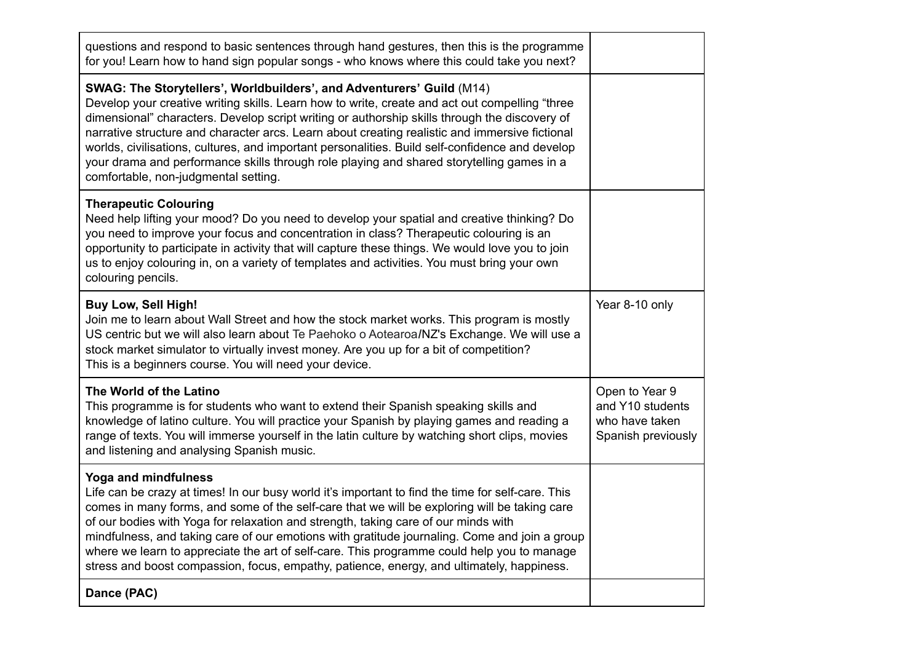| questions and respond to basic sentences through hand gestures, then this is the programme<br>for you! Learn how to hand sign popular songs - who knows where this could take you next?                                                                                                                                                                                                                                                                                                                                                                                                                            |                                                                            |
|--------------------------------------------------------------------------------------------------------------------------------------------------------------------------------------------------------------------------------------------------------------------------------------------------------------------------------------------------------------------------------------------------------------------------------------------------------------------------------------------------------------------------------------------------------------------------------------------------------------------|----------------------------------------------------------------------------|
| SWAG: The Storytellers', Worldbuilders', and Adventurers' Guild (M14)<br>Develop your creative writing skills. Learn how to write, create and act out compelling "three<br>dimensional" characters. Develop script writing or authorship skills through the discovery of<br>narrative structure and character arcs. Learn about creating realistic and immersive fictional<br>worlds, civilisations, cultures, and important personalities. Build self-confidence and develop<br>your drama and performance skills through role playing and shared storytelling games in a<br>comfortable, non-judgmental setting. |                                                                            |
| <b>Therapeutic Colouring</b><br>Need help lifting your mood? Do you need to develop your spatial and creative thinking? Do<br>you need to improve your focus and concentration in class? Therapeutic colouring is an<br>opportunity to participate in activity that will capture these things. We would love you to join<br>us to enjoy colouring in, on a variety of templates and activities. You must bring your own<br>colouring pencils.                                                                                                                                                                      |                                                                            |
| <b>Buy Low, Sell High!</b><br>Join me to learn about Wall Street and how the stock market works. This program is mostly<br>US centric but we will also learn about Te Paehoko o Aotearoa/NZ's Exchange. We will use a<br>stock market simulator to virtually invest money. Are you up for a bit of competition?<br>This is a beginners course. You will need your device.                                                                                                                                                                                                                                          | Year 8-10 only                                                             |
| The World of the Latino<br>This programme is for students who want to extend their Spanish speaking skills and<br>knowledge of latino culture. You will practice your Spanish by playing games and reading a<br>range of texts. You will immerse yourself in the latin culture by watching short clips, movies<br>and listening and analysing Spanish music.                                                                                                                                                                                                                                                       | Open to Year 9<br>and Y10 students<br>who have taken<br>Spanish previously |
| Yoga and mindfulness<br>Life can be crazy at times! In our busy world it's important to find the time for self-care. This<br>comes in many forms, and some of the self-care that we will be exploring will be taking care<br>of our bodies with Yoga for relaxation and strength, taking care of our minds with<br>mindfulness, and taking care of our emotions with gratitude journaling. Come and join a group<br>where we learn to appreciate the art of self-care. This programme could help you to manage<br>stress and boost compassion, focus, empathy, patience, energy, and ultimately, happiness.        |                                                                            |
| Dance (PAC)                                                                                                                                                                                                                                                                                                                                                                                                                                                                                                                                                                                                        |                                                                            |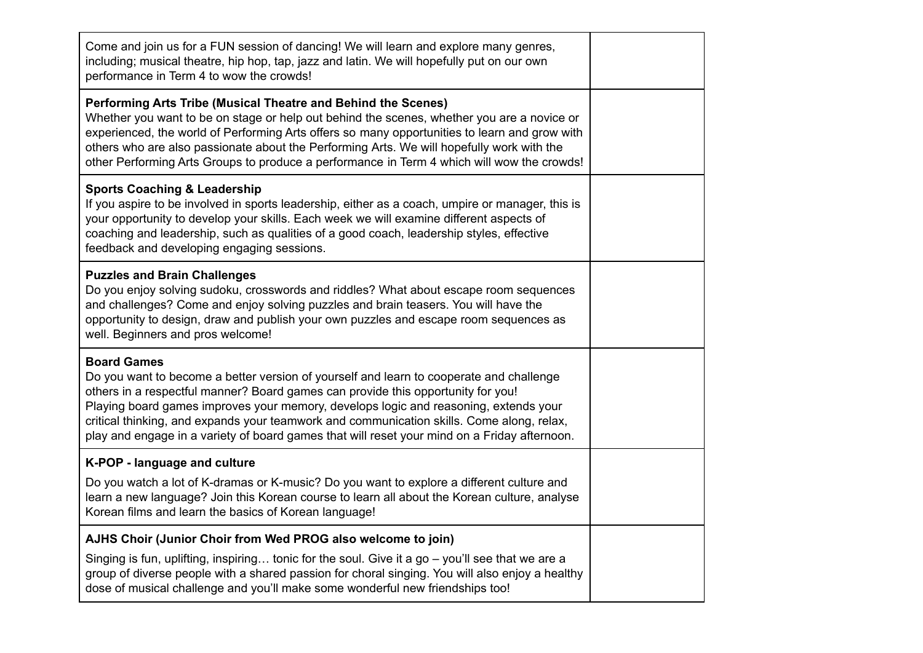| Come and join us for a FUN session of dancing! We will learn and explore many genres,<br>including; musical theatre, hip hop, tap, jazz and latin. We will hopefully put on our own<br>performance in Term 4 to wow the crowds!                                                                                                                                                                                                                                                        |  |
|----------------------------------------------------------------------------------------------------------------------------------------------------------------------------------------------------------------------------------------------------------------------------------------------------------------------------------------------------------------------------------------------------------------------------------------------------------------------------------------|--|
| Performing Arts Tribe (Musical Theatre and Behind the Scenes)<br>Whether you want to be on stage or help out behind the scenes, whether you are a novice or<br>experienced, the world of Performing Arts offers so many opportunities to learn and grow with<br>others who are also passionate about the Performing Arts. We will hopefully work with the<br>other Performing Arts Groups to produce a performance in Term 4 which will wow the crowds!                                |  |
| <b>Sports Coaching &amp; Leadership</b><br>If you aspire to be involved in sports leadership, either as a coach, umpire or manager, this is<br>your opportunity to develop your skills. Each week we will examine different aspects of<br>coaching and leadership, such as qualities of a good coach, leadership styles, effective<br>feedback and developing engaging sessions.                                                                                                       |  |
| <b>Puzzles and Brain Challenges</b><br>Do you enjoy solving sudoku, crosswords and riddles? What about escape room sequences<br>and challenges? Come and enjoy solving puzzles and brain teasers. You will have the<br>opportunity to design, draw and publish your own puzzles and escape room sequences as<br>well. Beginners and pros welcome!                                                                                                                                      |  |
| <b>Board Games</b><br>Do you want to become a better version of yourself and learn to cooperate and challenge<br>others in a respectful manner? Board games can provide this opportunity for you!<br>Playing board games improves your memory, develops logic and reasoning, extends your<br>critical thinking, and expands your teamwork and communication skills. Come along, relax,<br>play and engage in a variety of board games that will reset your mind on a Friday afternoon. |  |
| K-POP - language and culture                                                                                                                                                                                                                                                                                                                                                                                                                                                           |  |
| Do you watch a lot of K-dramas or K-music? Do you want to explore a different culture and<br>learn a new language? Join this Korean course to learn all about the Korean culture, analyse<br>Korean films and learn the basics of Korean language!                                                                                                                                                                                                                                     |  |
| AJHS Choir (Junior Choir from Wed PROG also welcome to join)                                                                                                                                                                                                                                                                                                                                                                                                                           |  |
| Singing is fun, uplifting, inspiring tonic for the soul. Give it a go - you'll see that we are a<br>group of diverse people with a shared passion for choral singing. You will also enjoy a healthy<br>dose of musical challenge and you'll make some wonderful new friendships too!                                                                                                                                                                                                   |  |